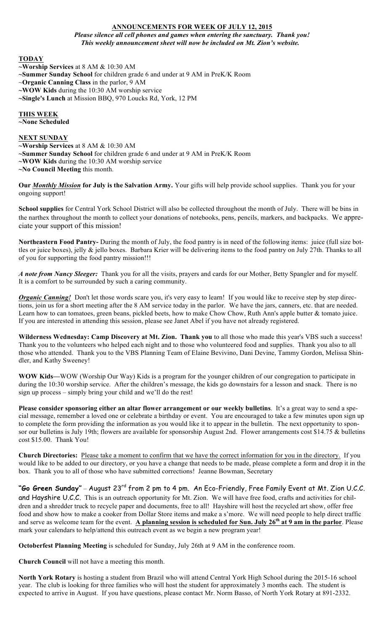# **ANNOUNCEMENTS FOR WEEK OF JULY 12, 2015**

*Please silence all cell phones and games when entering the sanctuary. Thank you! This weekly announcement sheet will now be included on Mt. Zion's website.*

**TODAY**

- **~Worship Services** at 8 AM & 10:30 AM
- **~Summer Sunday School** for children grade 6 and under at 9 AM in PreK/K Room
- ~**Organic Canning Class** in the parlor, 9 AM
- **~WOW Kids** during the 10:30 AM worship service
- **~Single's Lunch** at Mission BBQ, 970 Loucks Rd, York, 12 PM

## **THIS WEEK**

**~None Scheduled**

### **NEXT SUNDAY**

- **~Worship Services** at 8 AM & 10:30 AM **~Summer Sunday School** for children grade 6 and under at 9 AM in PreK/K Room
- **~WOW Kids** during the 10:30 AM worship service
- **~No Council Meeting** this month.

**Our** *Monthly Mission* **for July is the Salvation Army.** Your gifts will help provide school supplies. Thank you for your ongoing support!

**School supplies** for Central York School District will also be collected throughout the month of July. There will be bins in the narthex throughout the month to collect your donations of notebooks, pens, pencils, markers, and backpacks. We appreciate your support of this mission!

**Northeastern Food Pantry-** During the month of July, the food pantry is in need of the following items: juice (full size bottles or juice boxes), jelly & jello boxes. Barbara Krier will be delivering items to the food pantry on July 27th. Thanks to all of you for supporting the food pantry mission!!!

*A note from Nancy Sleeger:* Thank you for all the visits, prayers and cards for our Mother, Betty Spangler and for myself. It is a comfort to be surrounded by such a caring community.

*Organic Canning!* Don't let those words scare you, it's very easy to learn! If you would like to receive step by step directions, join us for a short meeting after the 8 AM service today in the parlor. We have the jars, canners, etc. that are needed. Learn how to can tomatoes, green beans, pickled beets, how to make Chow Chow, Ruth Ann's apple butter & tomato juice. If you are interested in attending this session, please see Janet Abel if you have not already registered.

**Wilderness Wednesday: Camp Discovery at Mt. Zion. Thank you** to all those who made this year's VBS such a success! Thank you to the volunteers who helped each night and to those who volunteered food and supplies. Thank you also to all those who attended. Thank you to the VBS Planning Team of Elaine Bevivino, Dani Devine, Tammy Gordon, Melissa Shindler, and Kathy Sweeney!

**WOW Kids—**WOW (Worship Our Way) Kids is a program for the younger children of our congregation to participate in during the 10:30 worship service. After the children's message, the kids go downstairs for a lesson and snack. There is no sign up process – simply bring your child and we'll do the rest!

**Please consider sponsoring either an altar flower arrangement or our weekly bulletins**. It's a great way to send a special message, remember a loved one or celebrate a birthday or event. You are encouraged to take a few minutes upon sign up to complete the form providing the information as you would like it to appear in the bulletin. The next opportunity to sponsor our bulletins is July 19th; flowers are available for sponsorship August 2nd. Flower arrangements cost \$14.75 & bulletins cost \$15.00. Thank You!

**Church Directories:** Please take a moment to confirm that we have the correct information for you in the directory. If you would like to be added to our directory, or you have a change that needs to be made, please complete a form and drop it in the box. Thank you to all of those who have submitted corrections! Jeanne Bowman, Secretary

# **"Go Green Sunday"** – August 23rd from 2 pm to 4 pm. An Eco-Friendly, Free Family Event at Mt. Zion U.C.C.

and Hayshire U.C.C. This is an outreach opportunity for Mt. Zion. We will have free food, crafts and activities for children and a shredder truck to recycle paper and documents, free to all! Hayshire will host the recycled art show, offer free food and show how to make a cooker from Dollar Store items and make a s'more. We will need people to help direct traffic and serve as welcome team for the event. **A planning session is scheduled for Sun. July 26th at 9 am in the parlor**. Please mark your calendars to help/attend this outreach event as we begin a new program year!

**Octoberfest Planning Meeting** is scheduled for Sunday, July 26th at 9 AM in the conference room.

**Church Council** will not have a meeting this month.

**North York Rotary** is hosting a student from Brazil who will attend Central York High School during the 2015-16 school year. The club is looking for three families who will host the student for approximately 3 months each. The student is expected to arrive in August. If you have questions, please contact Mr. Norm Basso, of North York Rotary at 891-2332.